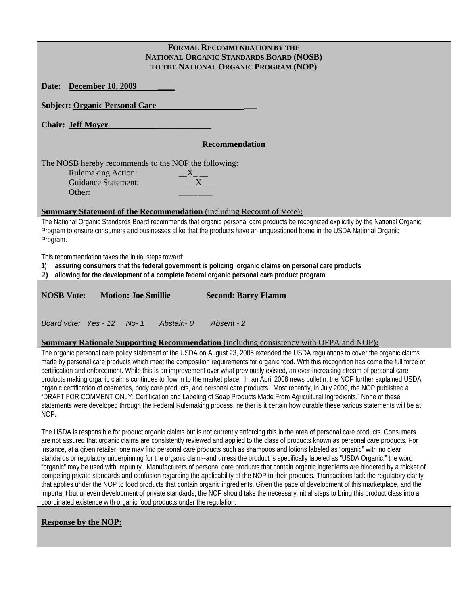| <b>FORMAL RECOMMENDATION BY THE</b>                                                                                                                                                                                                                                           |
|-------------------------------------------------------------------------------------------------------------------------------------------------------------------------------------------------------------------------------------------------------------------------------|
| NATIONAL ORGANIC STANDARDS BOARD (NOSB)                                                                                                                                                                                                                                       |
| TO THE NATIONAL ORGANIC PROGRAM (NOP)                                                                                                                                                                                                                                         |
| <b>December 10, 2009</b><br>Date:                                                                                                                                                                                                                                             |
| <b>Subject: Organic Personal Care</b>                                                                                                                                                                                                                                         |
| <b>Chair: Jeff Moyer</b>                                                                                                                                                                                                                                                      |
| <b>Recommendation</b>                                                                                                                                                                                                                                                         |
| The NOSB hereby recommends to the NOP the following:<br><b>Rulemaking Action:</b><br>$X_{-}$<br>X<br><b>Guidance Statement:</b><br>Other:                                                                                                                                     |
| <b>Summary Statement of the Recommendation</b> (including Recount of Vote):                                                                                                                                                                                                   |
| The National Organic Standards Board recommends that organic personal care products be recognized explicitly by the National Organic<br>Program to ensure consumers and businesses alike that the products have an unquestioned home in the USDA National Organic<br>Program. |
| This recommendation takes the initial steps toward:<br>assuring consumers that the federal government is policing organic claims on personal care products<br>1)<br>allowing for the development of a complete federal organic personal care product program<br>2)            |
| <b>NOSB Vote:</b><br><b>Motion: Joe Smillie</b><br><b>Second: Barry Flamm</b>                                                                                                                                                                                                 |
| Abstain-0<br>Absent - 2<br>Board vote: Yes - 12 No-1                                                                                                                                                                                                                          |
| <b>Summary Rationale Supporting Recommendation</b> (including consistency with OFPA and NOP):                                                                                                                                                                                 |

The organic personal care policy statement of the USDA on August 23, 2005 extended the USDA regulations to cover the organic claims made by personal care products which meet the composition requirements for organic food. With this recognition has come the full force of certification and enforcement. While this is an improvement over what previously existed, an ever-increasing stream of personal care products making organic claims continues to flow in to the market place. In an April 2008 news bulletin, the NOP further explained USDA organic certification of cosmetics, body care products, and personal care products. Most recently, in July 2009, the NOP published a "DRAFT FOR COMMENT ONLY: Certification and Labeling of Soap Products Made From Agricultural Ingredients." None of these statements were developed through the Federal Rulemaking process, neither is it certain how durable these various statements will be at NOP.

The USDA is responsible for product organic claims but is not currently enforcing this in the area of personal care products. Consumers are not assured that organic claims are consistently reviewed and applied to the class of products known as personal care products. For instance, at a given retailer, one may find personal care products such as shampoos and lotions labeled as "organic" with no clear standards or regulatory underpinning for the organic claim--and unless the product is specifically labeled as "USDA Organic," the word "organic" may be used with impunity. Manufacturers of personal care products that contain organic ingredients are hindered by a thicket of competing private standards and confusion regarding the applicability of the NOP to their products. Transactions lack the regulatory clarity that applies under the NOP to food products that contain organic ingredients. Given the pace of development of this marketplace, and the important but uneven development of private standards, the NOP should take the necessary initial steps to bring this product class into a coordinated existence with organic food products under the regulation.

# **Response by the NOP:**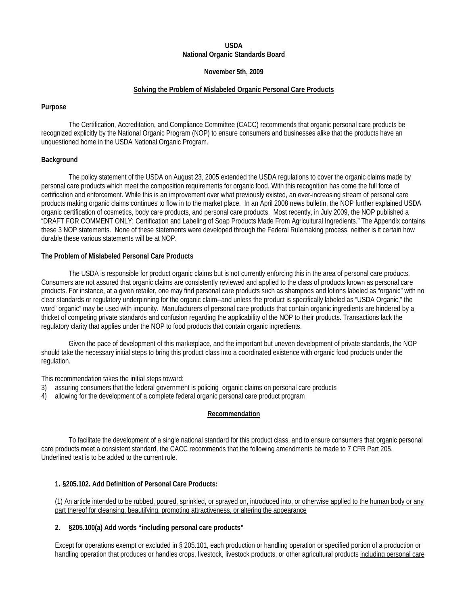# **USDA National Organic Standards Board**

### **November 5th, 2009**

### **Solving the Problem of Mislabeled Organic Personal Care Products**

### **Purpose**

The Certification, Accreditation, and Compliance Committee (CACC) recommends that organic personal care products be recognized explicitly by the National Organic Program (NOP) to ensure consumers and businesses alike that the products have an unquestioned home in the USDA National Organic Program.

# **Background**

The policy statement of the USDA on August 23, 2005 extended the USDA regulations to cover the organic claims made by personal care products which meet the composition requirements for organic food. With this recognition has come the full force of certification and enforcement. While this is an improvement over what previously existed, an ever-increasing stream of personal care products making organic claims continues to flow in to the market place. In an April 2008 news bulletin, the NOP further explained USDA organic certification of cosmetics, body care products, and personal care products. Most recently, in July 2009, the NOP published a "DRAFT FOR COMMENT ONLY: Certification and Labeling of Soap Products Made From Agricultural Ingredients." The Appendix contains these 3 NOP statements. None of these statements were developed through the Federal Rulemaking process, neither is it certain how durable these various statements will be at NOP.

### **The Problem of Mislabeled Personal Care Products**

The USDA is responsible for product organic claims but is not currently enforcing this in the area of personal care products. Consumers are not assured that organic claims are consistently reviewed and applied to the class of products known as personal care products. For instance, at a given retailer, one may find personal care products such as shampoos and lotions labeled as "organic" with no clear standards or regulatory underpinning for the organic claim--and unless the product is specifically labeled as "USDA Organic," the word "organic" may be used with impunity. Manufacturers of personal care products that contain organic ingredients are hindered by a thicket of competing private standards and confusion regarding the applicability of the NOP to their products. Transactions lack the regulatory clarity that applies under the NOP to food products that contain organic ingredients.

Given the pace of development of this marketplace, and the important but uneven development of private standards, the NOP should take the necessary initial steps to bring this product class into a coordinated existence with organic food products under the regulation.

This recommendation takes the initial steps toward:

- 3) assuring consumers that the federal government is policing organic claims on personal care products
- 4) allowing for the development of a complete federal organic personal care product program

# **Recommendation**

To facilitate the development of a single national standard for this product class, and to ensure consumers that organic personal care products meet a consistent standard, the CACC recommends that the following amendments be made to 7 CFR Part 205. Underlined text is to be added to the current rule.

# **1. §205.102. Add Definition of Personal Care Products:**

(1) An article intended to be rubbed, poured, sprinkled, or sprayed on, introduced into, or otherwise applied to the human body or any part thereof for cleansing, beautifying, promoting attractiveness, or altering the appearance

# **2. §205.100(a) Add words "including personal care products"**

Except for operations exempt or excluded i[n § 205.101,](http://web2.westlaw.com/find/default.wl?tf=-1&rs=WLW9.01&ifm=NotSet&fn=_top&sv=Split&tc=-1&docname=7CFRS205.101&ordoc=10329231&findtype=VP&db=1000547&vr=2.0&rp=%2ffind%2fdefault.wl&mt=Westlaw) each production or handling operation or specified portion of a production or handling operation that produces or handles crops, livestock, livestock products, or other agricultural products including personal care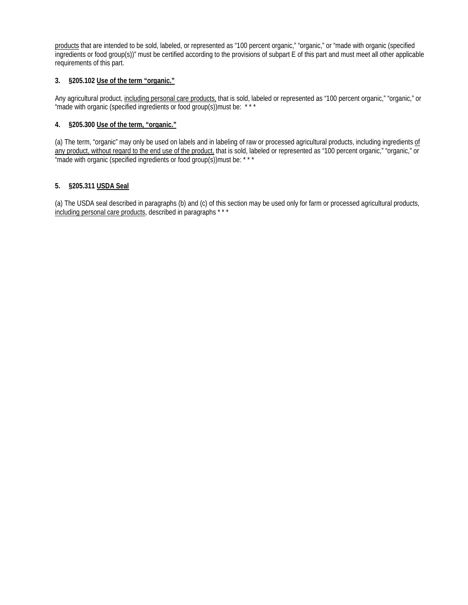products that are intended to be sold, labeled, or represented as "100 percent organic," "organic," or "made with organic (specified ingredients or food group(s))" must be certified according to the provisions of subpart E of this part and must meet all other applicable requirements of this part.

# **3. §205.102 Use of the term "organic."**

Any agricultural product, including personal care products, that is sold, labeled or represented as "100 percent organic," "organic," or "made with organic (specified ingredients or food group(s))must be: \*\*\*

# **4. §205.300 Use of the term, "organic."**

(a) The term, "organic" may only be used on labels and in labeling of raw or processed agricultural products, including ingredients of any product, without regard to the end use of the product, that is sold, labeled or represented as "100 percent organic," "organic," or "made with organic (specified ingredients or food group(s))must be: \* \* \*

# **5. §205.311 USDA Seal**

(a) The USDA seal described in paragraphs (b) and (c) of this section may be used only for farm or processed agricultural products, including personal care products, described in paragraphs \*\*\*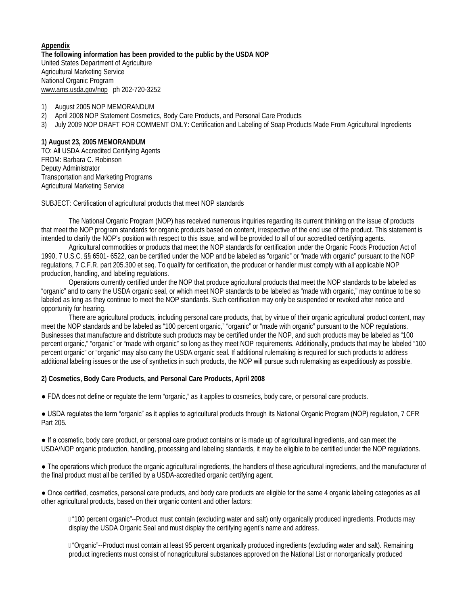**Appendix The following information has been provided to the public by the USDA NOP**  United States Department of Agriculture Agricultural Marketing Service National Organic Program [www.ams.usda.gov/nop](http://www.ams.usda.gov/nop) ph 202-720-3252

1) August 2005 NOP MEMORANDUM

- 2) April 2008 NOP Statement Cosmetics, Body Care Products, and Personal Care Products
- 3) July 2009 NOP DRAFT FOR COMMENT ONLY: Certification and Labeling of Soap Products Made From Agricultural Ingredients

## **1) August 23, 2005 MEMORANDUM**

TO: All USDA Accredited Certifying Agents FROM: Barbara C. Robinson Deputy Administrator Transportation and Marketing Programs Agricultural Marketing Service

SUBJECT: Certification of agricultural products that meet NOP standards

The National Organic Program (NOP) has received numerous inquiries regarding its current thinking on the issue of products that meet the NOP program standards for organic products based on content, irrespective of the end use of the product. This statement is intended to clarify the NOP's position with respect to this issue, and will be provided to all of our accredited certifying agents.

Agricultural commodities or products that meet the NOP standards for certification under the Organic Foods Production Act of 1990, 7 U.S.C. §§ 6501- 6522, can be certified under the NOP and be labeled as "organic" or "made with organic" pursuant to the NOP regulations, 7 C.F.R. part 205.300 et seq. To qualify for certification, the producer or handler must comply with all applicable NOP production, handling, and labeling regulations.

Operations currently certified under the NOP that produce agricultural products that meet the NOP standards to be labeled as "organic" and to carry the USDA organic seal, or which meet NOP standards to be labeled as "made with organic," may continue to be so labeled as long as they continue to meet the NOP standards. Such certification may only be suspended or revoked after notice and opportunity for hearing.

There are agricultural products, including personal care products, that, by virtue of their organic agricultural product content, may meet the NOP standards and be labeled as "100 percent organic," "organic" or "made with organic" pursuant to the NOP regulations. Businesses that manufacture and distribute such products may be certified under the NOP, and such products may be labeled as "100 percent organic," "organic" or "made with organic" so long as they meet NOP requirements. Additionally, products that may be labeled "100 percent organic" or "organic" may also carry the USDA organic seal. If additional rulemaking is required for such products to address additional labeling issues or the use of synthetics in such products, the NOP will pursue such rulemaking as expeditiously as possible.

# **2) Cosmetics, Body Care Products, and Personal Care Products, April 2008**

● FDA does not define or regulate the term "organic," as it applies to cosmetics, body care, or personal care products.

● USDA regulates the term "organic" as it applies to agricultural products through its National Organic Program (NOP) regulation, 7 CFR Part 205.

● If a cosmetic, body care product, or personal care product contains or is made up of agricultural ingredients, and can meet the USDA/NOP organic production, handling, processing and labeling standards, it may be eligible to be certified under the NOP regulations.

● The operations which produce the organic agricultural ingredients, the handlers of these agricultural ingredients, and the manufacturer of the final product must all be certified by a USDA-accredited organic certifying agent.

● Once certified, cosmetics, personal care products, and body care products are eligible for the same 4 organic labeling categories as all other agricultural products, based on their organic content and other factors:

 "100 percent organic"--Product must contain (excluding water and salt) only organically produced ingredients. Products may display the USDA Organic Seal and must display the certifying agent's name and address.

 "Organic"--Product must contain at least 95 percent organically produced ingredients (excluding water and salt). Remaining product ingredients must consist of nonagricultural substances approved on the National List or nonorganically produced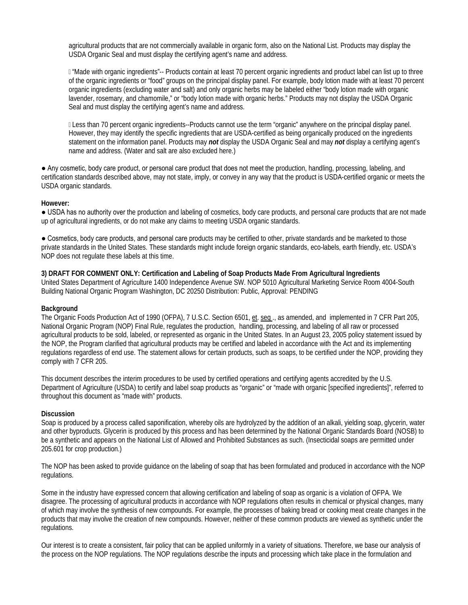agricultural products that are not commercially available in organic form, also on the National List. Products may display the USDA Organic Seal and must display the certifying agent's name and address.

 "Made with organic ingredients"-- Products contain at least 70 percent organic ingredients and product label can list up to three of the organic ingredients or "food" groups on the principal display panel. For example, body lotion made with at least 70 percent organic ingredients (excluding water and salt) and only organic herbs may be labeled either "body lotion made with organic lavender, rosemary, and chamomile," or "body lotion made with organic herbs." Products may not display the USDA Organic Seal and must display the certifying agent's name and address.

 Less than 70 percent organic ingredients--Products cannot use the term "organic" anywhere on the principal display panel. However, they may identify the specific ingredients that are USDA-certified as being organically produced on the ingredients statement on the information panel. Products may *not* display the USDA Organic Seal and may *not* display a certifying agent's name and address. (Water and salt are also excluded here.)

● Any cosmetic, body care product, or personal care product that does not meet the production, handling, processing, labeling, and certification standards described above, may not state, imply, or convey in any way that the product is USDA-certified organic or meets the USDA organic standards.

### **However:**

• USDA has no authority over the production and labeling of cosmetics, body care products, and personal care products that are not made up of agricultural ingredients, or do not make any claims to meeting USDA organic standards.

• Cosmetics, body care products, and personal care products may be certified to other, private standards and be marketed to those private standards in the United States. These standards might include foreign organic standards, eco-labels, earth friendly, etc. USDA's NOP does not regulate these labels at this time.

### **3) DRAFT FOR COMMENT ONLY: Certification and Labeling of Soap Products Made From Agricultural Ingredients**  United States Department of Agriculture 1400 Independence Avenue SW. NOP 5010 Agricultural Marketing Service Room 4004-South Building National Organic Program Washington, DC 20250 Distribution: Public, Approval: PENDING

# **Background**

The Organic Foods Production Act of 1990 (OFPA), 7 U.S.C. Section 6501, et. seq ., as amended, and implemented in 7 CFR Part 205, National Organic Program (NOP) Final Rule, regulates the production, handling, processing, and labeling of all raw or processed agricultural products to be sold, labeled, or represented as organic in the United States. In an August 23, 2005 policy statement issued by the NOP, the Program clarified that agricultural products may be certified and labeled in accordance with the Act and its implementing regulations regardless of end use. The statement allows for certain products, such as soaps, to be certified under the NOP, providing they comply with 7 CFR 205.

This document describes the interim procedures to be used by certified operations and certifying agents accredited by the U.S. Department of Agriculture (USDA) to certify and label soap products as "organic" or "made with organic [specified ingredients]", referred to throughout this document as "made with" products.

# **Discussion**

Soap is produced by a process called saponification, whereby oils are hydrolyzed by the addition of an alkali, yielding soap, glycerin, water and other byproducts. Glycerin is produced by this process and has been determined by the National Organic Standards Board (NOSB) to be a synthetic and appears on the National List of Allowed and Prohibited Substances as such. (Insecticidal soaps are permitted under 205.601 for crop production.)

The NOP has been asked to provide guidance on the labeling of soap that has been formulated and produced in accordance with the NOP regulations.

Some in the industry have expressed concern that allowing certification and labeling of soap as organic is a violation of OFPA. We disagree. The processing of agricultural products in accordance with NOP regulations often results in chemical or physical changes, many of which may involve the synthesis of new compounds. For example, the processes of baking bread or cooking meat create changes in the products that may involve the creation of new compounds. However, neither of these common products are viewed as synthetic under the regulations.

Our interest is to create a consistent, fair policy that can be applied uniformly in a variety of situations. Therefore, we base our analysis of the process on the NOP regulations. The NOP regulations describe the inputs and processing which take place in the formulation and